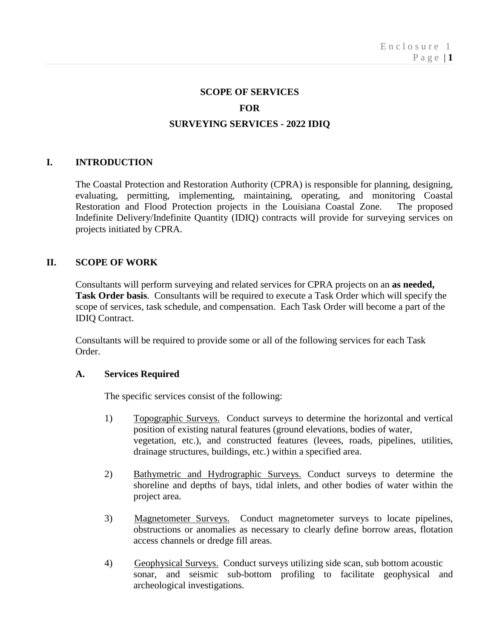#### **SCOPE OF SERVICES**

#### **FOR**

#### **SURVEYING SERVICES - 2022 IDIQ**

### **I. INTRODUCTION**

The Coastal Protection and Restoration Authority (CPRA) is responsible for planning, designing, evaluating, permitting, implementing, maintaining, operating, and monitoring Coastal Restoration and Flood Protection projects in the Louisiana Coastal Zone. Indefinite Delivery/Indefinite Quantity (IDIQ) contracts will provide for surveying services on projects initiated by CPRA.

### **II. SCOPE OF WORK**

Consultants will perform surveying and related services for CPRA projects on an **as needed, Task Order basis**. Consultants will be required to execute a Task Order which will specify the scope of services, task schedule, and compensation. Each Task Order will become a part of the IDIQ Contract.

Consultants will be required to provide some or all of the following services for each Task Order.

#### **A. Services Required**

The specific services consist of the following:

- 1) Topographic Surveys. Conduct surveys to determine the horizontal and vertical position of existing natural features (ground elevations, bodies of water, vegetation, etc.), and constructed features (levees, roads, pipelines, utilities, drainage structures, buildings, etc.) within a specified area.
- 2) Bathymetric and Hydrographic Surveys. Conduct surveys to determine the shoreline and depths of bays, tidal inlets, and other bodies of water within the project area.
- 3) Magnetometer Surveys. Conduct magnetometer surveys to locate pipelines, obstructions or anomalies as necessary to clearly define borrow areas, flotation access channels or dredge fill areas.
- 4) Geophysical Surveys. Conduct surveys utilizing side scan, sub bottom acoustic sonar, and seismic sub-bottom profiling to facilitate geophysical and archeological investigations.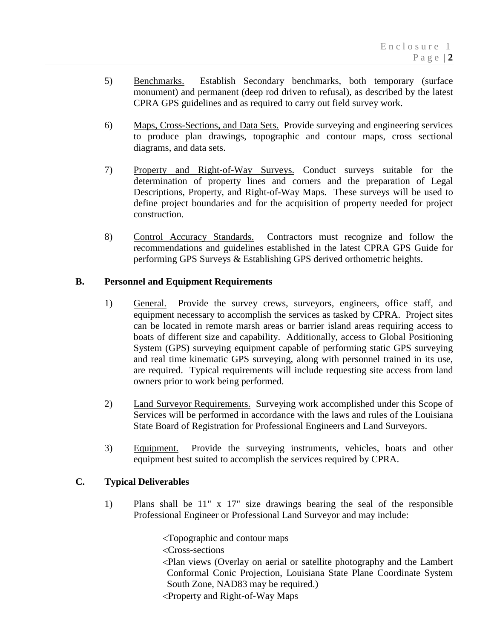- 5) Benchmarks. Establish Secondary benchmarks, both temporary (surface monument) and permanent (deep rod driven to refusal), as described by the latest CPRA GPS guidelines and as required to carry out field survey work.
- 6) Maps, Cross-Sections, and Data Sets. Provide surveying and engineering services to produce plan drawings, topographic and contour maps, cross sectional diagrams, and data sets.
- 7) Property and Right-of-Way Surveys. Conduct surveys suitable for the determination of property lines and corners and the preparation of Legal Descriptions, Property, and Right-of-Way Maps. These surveys will be used to define project boundaries and for the acquisition of property needed for project construction.
- 8) Control Accuracy Standards. Contractors must recognize and follow the recommendations and guidelines established in the latest CPRA GPS Guide for performing GPS Surveys & Establishing GPS derived orthometric heights.

## **B. Personnel and Equipment Requirements**

- 1) General. Provide the survey crews, surveyors, engineers, office staff, and equipment necessary to accomplish the services as tasked by CPRA. Project sites can be located in remote marsh areas or barrier island areas requiring access to boats of different size and capability. Additionally, access to Global Positioning System (GPS) surveying equipment capable of performing static GPS surveying and real time kinematic GPS surveying, along with personnel trained in its use, are required. Typical requirements will include requesting site access from land owners prior to work being performed.
- 2) Land Surveyor Requirements. Surveying work accomplished under this Scope of Services will be performed in accordance with the laws and rules of the Louisiana State Board of Registration for Professional Engineers and Land Surveyors.
- 3) Equipment. Provide the surveying instruments, vehicles, boats and other equipment best suited to accomplish the services required by CPRA.

# **C. Typical Deliverables**

1) Plans shall be 11" x 17" size drawings bearing the seal of the responsible Professional Engineer or Professional Land Surveyor and may include:

<Topographic and contour maps

<Cross-sections

<Plan views (Overlay on aerial or satellite photography and the Lambert Conformal Conic Projection, Louisiana State Plane Coordinate System South Zone, NAD83 may be required.)

<Property and Right-of-Way Maps